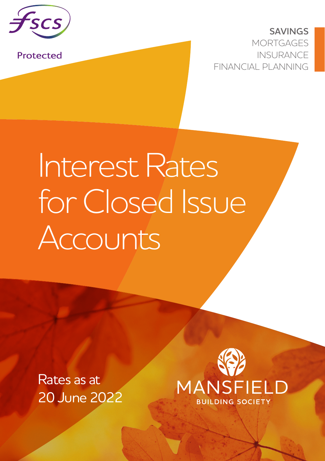

Protected

**SAVINGS MORTGAGES** INSURANCE FINANCIAL PLANNING

## Interest Rates for Closed Issue Accounts

Rates as at 20 June 2022

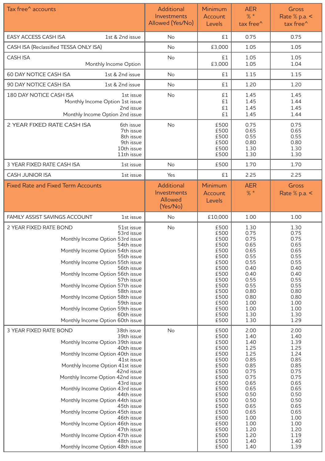| Tax free^ accounts                                                                                                                                                                                                                                                                                                                                                                                                                                                                                                                                       | Additional<br>Investments<br>Allowed (Yes/No)    | Minimum<br>Account<br>Levels                                                                                                                                         | AER<br>$%$ *<br>tax free^                                                                                                                                            | Gross<br>Rate $%$ p.a. $<$<br>tax free^                                                                                                                              |
|----------------------------------------------------------------------------------------------------------------------------------------------------------------------------------------------------------------------------------------------------------------------------------------------------------------------------------------------------------------------------------------------------------------------------------------------------------------------------------------------------------------------------------------------------------|--------------------------------------------------|----------------------------------------------------------------------------------------------------------------------------------------------------------------------|----------------------------------------------------------------------------------------------------------------------------------------------------------------------|----------------------------------------------------------------------------------------------------------------------------------------------------------------------|
| EASY ACCESS CASH ISA<br>1st & 2nd issue                                                                                                                                                                                                                                                                                                                                                                                                                                                                                                                  | No                                               | £1                                                                                                                                                                   | 0.75                                                                                                                                                                 | 0.75                                                                                                                                                                 |
| CASH ISA (Reclassified TESSA ONLY ISA)                                                                                                                                                                                                                                                                                                                                                                                                                                                                                                                   | No                                               | £3,000                                                                                                                                                               | 1.05                                                                                                                                                                 | 1.05                                                                                                                                                                 |
| CASH ISA<br>Monthly Income Option                                                                                                                                                                                                                                                                                                                                                                                                                                                                                                                        | No                                               | £1<br>£3,000                                                                                                                                                         | 1.05<br>1.05                                                                                                                                                         | 1.05<br>1.04                                                                                                                                                         |
| 60 DAY NOTICE CASH ISA<br>1st & 2nd issue                                                                                                                                                                                                                                                                                                                                                                                                                                                                                                                | No                                               | £1                                                                                                                                                                   | 1.15                                                                                                                                                                 | 1.15                                                                                                                                                                 |
| 90 DAY NOTICE CASH ISA<br>1st & 2nd issue                                                                                                                                                                                                                                                                                                                                                                                                                                                                                                                | <b>No</b>                                        | £1                                                                                                                                                                   | 1.20                                                                                                                                                                 | 1.20                                                                                                                                                                 |
| 180 DAY NOTICE CASH ISA<br>1st issue<br>Monthly Income Option 1st issue<br>2nd issue<br>Monthly Income Option 2nd issue                                                                                                                                                                                                                                                                                                                                                                                                                                  | No                                               | £1<br>£1<br>£1<br>£1                                                                                                                                                 | 1.45<br>1.45<br>1.45<br>1.45                                                                                                                                         | 1.45<br>1.44<br>1.45<br>1.44                                                                                                                                         |
| 2 YEAR FIXED RATE CASH ISA<br>6th issue<br>7th issue<br>8th issue<br>9th issue<br>10th issue<br>11th issue                                                                                                                                                                                                                                                                                                                                                                                                                                               | No                                               | £500<br>£500<br>£500<br>£500<br>£500<br>£500                                                                                                                         | 0.75<br>0.65<br>0.55<br>0.80<br>1.30<br>1.30                                                                                                                         | 0.75<br>0.65<br>0.55<br>0.80<br>1.30<br>1.30                                                                                                                         |
| 3 YEAR FIXED RATE CASH ISA<br>1st issue                                                                                                                                                                                                                                                                                                                                                                                                                                                                                                                  | No                                               | £500                                                                                                                                                                 | 1.70                                                                                                                                                                 | 1.70                                                                                                                                                                 |
| <b>CASH JUNIOR ISA</b><br>1st issue                                                                                                                                                                                                                                                                                                                                                                                                                                                                                                                      | Yes                                              | £1                                                                                                                                                                   | 2.25                                                                                                                                                                 | 2.25                                                                                                                                                                 |
| <b>Fixed Rate and Fixed Term Accounts</b>                                                                                                                                                                                                                                                                                                                                                                                                                                                                                                                | Additional<br>Investments<br>Allowed<br>(Yes/No) | Minimum<br>Account<br>Levels                                                                                                                                         | AER<br>$%$ *                                                                                                                                                         | Gross<br>Rate $%$ p.a. $<$                                                                                                                                           |
| FAMILY ASSIST SAVINGS ACCOUNT<br>1st issue                                                                                                                                                                                                                                                                                                                                                                                                                                                                                                               | <b>No</b>                                        | £10,000                                                                                                                                                              | 1.00                                                                                                                                                                 | 1.00                                                                                                                                                                 |
| 2 YEAR FIXED RATE BOND<br>51st issue<br>53rd issue<br>Monthly Income Option 53rd issue<br>54th issue<br>Monthly Income Option 54th issue<br>55th issue<br>Monthly Income Option 55th issue<br>56th issue<br>Monthly Income Option 56th issue<br>57th issue<br>Monthly Income Option 57th issue<br>58th issue<br>Monthly Income Option 58th issue<br>59th issue<br>Monthly Income Option 59th issue<br>60th issue<br>Monthly Income Option 60th issue                                                                                                     | No                                               | £500<br>£500<br>£500<br>£500<br>£500<br>£500<br>£500<br>£500<br>£500<br>£500<br>£500<br>£500<br>£500<br>£500<br>£500<br>£500<br>£500                                 | 1.30<br>0.75<br>0.75<br>0.65<br>0.65<br>0.55<br>0.55<br>0.40<br>0.40<br>0.55<br>0.55<br>0.80<br>0.80<br>1.00<br>1.00<br>1.30<br>1.30                                 | 1.30<br>0.75<br>0.75<br>0.65<br>0.65<br>0.55<br>0.55<br>0.40<br>0.40<br>0.55<br>0.55<br>0.80<br>0.80<br>1.00<br>1.00<br>1.30<br>1.29                                 |
| 3 YEAR FIXED RATE BOND<br>38th issue<br>39th issue<br>Monthly Income Option 39th issue<br>40th issue<br>Monthly Income Option 40th issue<br>41st issue<br>Monthly Income Option 41st issue<br>42nd issue<br>Monthly Income Option 42nd issue<br>43rd issue<br>Monthly Income Option 43rd issue<br>44th issue<br>Monthly Income Option 44th issue<br>45th issue<br>Monthly Income Option 45th issue<br>46th issue<br>Monthly Income Option 46th issue<br>47th issue<br>Monthly Income Option 47th issue<br>48th issue<br>Monthly Income Option 48th issue | No                                               | £500<br>£500<br>£500<br>£500<br>£500<br>£500<br>£500<br>£500<br>£500<br>£500<br>£500<br>£500<br>£500<br>£500<br>£500<br>£500<br>£500<br>£500<br>£500<br>£500<br>£500 | 2.00<br>1.40<br>1.40<br>1.25<br>1.25<br>0.85<br>0.85<br>0.75<br>0.75<br>0.65<br>0.65<br>0.50<br>0.50<br>0.65<br>0.65<br>1.00<br>1.00<br>1.20<br>1.20<br>1.40<br>1.40 | 2.00<br>1.40<br>1.39<br>1.25<br>1.24<br>0.85<br>0.85<br>0.75<br>0.75<br>0.65<br>0.65<br>0.50<br>0.50<br>0.65<br>0.65<br>1.00<br>1.00<br>1.20<br>1.19<br>1.40<br>1.39 |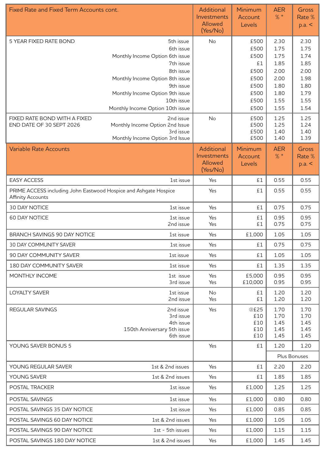| Fixed Rate and Fixed Term Accounts cont.                                                     |                                                | <b>Additional</b><br>Investments<br>Allowed | Minimum<br>Account<br><b>Levels</b> | <b>AER</b><br>$%$ * | Gross<br>Rate %<br>p.a. < |
|----------------------------------------------------------------------------------------------|------------------------------------------------|---------------------------------------------|-------------------------------------|---------------------|---------------------------|
|                                                                                              |                                                | (Yes/No)                                    |                                     |                     |                           |
| 5 YEAR FIXED RATE BOND                                                                       | 5th issue                                      | <b>No</b>                                   | £500                                | 2.30                | 2.30                      |
|                                                                                              | 6th issue                                      |                                             | £500                                | 1.75                | 1.75                      |
|                                                                                              | Monthly Income Option 6th issue<br>7th issue   |                                             | £500<br>£1                          | 1.75<br>1.85        | 1.74<br>1.85              |
|                                                                                              | 8th issue                                      |                                             | £500                                | 2.00                | 2.00                      |
|                                                                                              | Monthly Income Option 8th issue                |                                             | £500                                | 2.00                | 1.98                      |
|                                                                                              | 9th issue                                      |                                             | £500                                | 1.80                | 1.80                      |
|                                                                                              | Monthly Income Option 9th issue                |                                             | £500                                | 1.80                | 1.79                      |
|                                                                                              | 10th issue<br>Monthly Income Option 10th issue |                                             | £500<br>£500                        | 1.55<br>1.55        | 1.55<br>1.54              |
| FIXED RATE BOND WITH A FIXED                                                                 |                                                | No                                          | £500                                | 1.25                | 1.25                      |
| END DATE OF 30 SEPT 2026                                                                     | 2nd issue<br>Monthly Income Option 2nd Issue   |                                             | £500                                | 1.25                | 1.24                      |
|                                                                                              | 3rd issue                                      |                                             | £500                                | 1.40                | 1.40                      |
|                                                                                              | Monthly Income Option 3rd Issue                |                                             | £500                                | 1.40                | 1.39                      |
| <b>Variable Rate Accounts</b>                                                                |                                                | Additional                                  | Minimum                             | <b>AER</b>          | Gross                     |
|                                                                                              |                                                | Investments<br>Allowed                      | Account<br>Levels                   | $%$ *               | Rate %<br>p.a. <          |
|                                                                                              |                                                | (Yes/No)                                    |                                     |                     |                           |
| <b>EASY ACCESS</b>                                                                           | 1st issue                                      | Yes                                         | £1                                  | 0.55                | 0.55                      |
| PRIME ACCESS including John Eastwood Hospice and Ashgate Hospice<br><b>Affinity Accounts</b> |                                                | Yes                                         | £1                                  | 0.55                | 0.55                      |
| <b>30 DAY NOTICE</b>                                                                         | 1st issue                                      | Yes                                         | £1                                  | 0.75                | 0.75                      |
| <b>60 DAY NOTICE</b>                                                                         | 1st issue                                      | Yes                                         | £1                                  | 0.95                | 0.95                      |
|                                                                                              | 2nd issue                                      | Yes                                         | £1                                  | 0.75                | 0.75                      |
| BRANCH SAVINGS 90 DAY NOTICE                                                                 | 1st issue                                      | Yes                                         | £1,000                              | 1.05                | 1.05                      |
| 30 DAY COMMUNITY SAVER                                                                       | 1st issue                                      | Yes                                         | £1                                  | 0.75                | 0.75                      |
| 90 DAY COMMUNITY SAVER                                                                       | 1st issue                                      | Yes                                         | £1                                  | 1.05                | 1.05                      |
| <b>180 DAY COMMUNITY SAVER</b>                                                               | 1st issue                                      | Yes                                         | £1                                  | 1.35                | 1.35                      |
| MONTHLY INCOME                                                                               | 1st issue<br>3rd issue                         | Yes<br>Yes                                  | £5,000<br>£10,000                   | 0.95<br>0.95        | 0.95<br>0.95              |
| <b>LOYALTY SAVER</b>                                                                         | 1st issue<br>2nd issue                         | No<br>Yes                                   | £1<br>£1                            | 1.20<br>1.20        | 1.20<br>1.20              |
| REGULAR SAVINGS                                                                              | 2nd issue                                      | Yes                                         | @£25                                | 1.70                | 1.70                      |
|                                                                                              | 3rd issue                                      |                                             | £10                                 | 1.70                | 1.70                      |
|                                                                                              | 4th issue                                      |                                             | £10                                 | 1.45                | 1.45                      |
|                                                                                              | 150th Anniversary 5th issue<br>6th issue       |                                             | £10<br>£10                          | 1.45<br>1.45        | 1.45<br>1.45              |
| YOUNG SAVER BONUS 5                                                                          |                                                | Yes                                         | £1                                  | 1.20                | 1.20                      |
|                                                                                              |                                                |                                             |                                     |                     | Plus Bonuses              |
| YOUNG REGULAR SAVER<br>1st & 2nd issues                                                      |                                                | Yes                                         | £1                                  | 2.20                | 2.20                      |
| YOUNG SAVER                                                                                  | 1st & 2nd issues                               | Yes                                         | £1                                  | 1.85                | 1.85                      |
| POSTAL TRACKER                                                                               | 1st issue                                      | Yes                                         | £1,000                              | 1.25                | 1.25                      |
| POSTAL SAVINGS                                                                               | 1st issue                                      | Yes                                         | £1,000                              | 0.80                | 0.80                      |
| POSTAL SAVINGS 35 DAY NOTICE                                                                 | 1st issue                                      | Yes                                         | £1,000                              | 0.85                | 0.85                      |
| POSTAL SAVINGS 60 DAY NOTICE                                                                 | 1st & 2nd issues                               | Yes                                         | £1,000                              | 1.05                | 1.05                      |
| POSTAL SAVINGS 90 DAY NOTICE                                                                 | 1st - 5th issues                               | Yes                                         | £1,000                              | 1.15                | 1.15                      |
| POSTAL SAVINGS 180 DAY NOTICE                                                                | 1st & 2nd issues                               | Yes                                         | £1,000                              | 1.45                | 1.45                      |